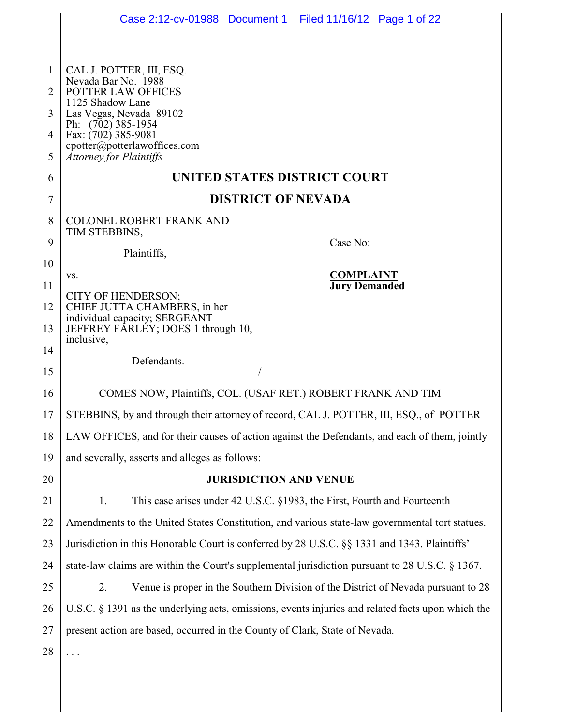|                | Case 2:12-cv-01988 Document 1 Filed 11/16/12 Page 1 of 22                                         |
|----------------|---------------------------------------------------------------------------------------------------|
|                |                                                                                                   |
| 1              | CAL J. POTTER, III, ESQ.                                                                          |
| 2              | Nevada Bar No. 1988<br>POTTER LAW OFFICES<br>1125 Shadow Lane                                     |
| 3              | Las Vegas, Nevada 89102<br>Ph: (702) 385-1954                                                     |
| 4              | Fax: (702) 385-9081<br>cpotter@potterlawoffices.com                                               |
| 5              | <b>Attorney for Plaintiffs</b>                                                                    |
| 6              | UNITED STATES DISTRICT COURT                                                                      |
| $\overline{7}$ | <b>DISTRICT OF NEVADA</b>                                                                         |
| 8              | <b>COLONEL ROBERT FRANK AND</b><br>TIM STEBBINS,                                                  |
| 9              | Case No:<br>Plaintiffs,                                                                           |
| 10             | <b>COMPLAINT</b>                                                                                  |
| 11             | VS.<br><b>Jury Demanded</b>                                                                       |
| 12             | CITY OF HENDERSON;<br>CHIEF JUTTA CHAMBERS, in her<br>individual capacity; SERGEANT               |
| 13             | JEFFREY FÁRLÉY; DOES 1 through 10,<br>inclusive,                                                  |
| 14             | Defendants.                                                                                       |
| 15             |                                                                                                   |
| 16             | COMES NOW, Plaintiffs, COL. (USAF RET.) ROBERT FRANK AND TIM                                      |
| 17             | STEBBINS, by and through their attorney of record, CAL J. POTTER, III, ESQ., of POTTER            |
| 18             | LAW OFFICES, and for their causes of action against the Defendants, and each of them, jointly     |
| 19             | and severally, asserts and alleges as follows:                                                    |
| 20             | <b>JURISDICTION AND VENUE</b>                                                                     |
| 21             | This case arises under 42 U.S.C. §1983, the First, Fourth and Fourteenth<br>1.                    |
| 22             | Amendments to the United States Constitution, and various state-law governmental tort statues.    |
| 23             | Jurisdiction in this Honorable Court is conferred by 28 U.S.C. §§ 1331 and 1343. Plaintiffs'      |
| 24             | state-law claims are within the Court's supplemental jurisdiction pursuant to 28 U.S.C. § 1367.   |
| 25             | 2.<br>Venue is proper in the Southern Division of the District of Nevada pursuant to 28           |
| 26             | U.S.C. § 1391 as the underlying acts, omissions, events injuries and related facts upon which the |
| 27             | present action are based, occurred in the County of Clark, State of Nevada.                       |
| 28             |                                                                                                   |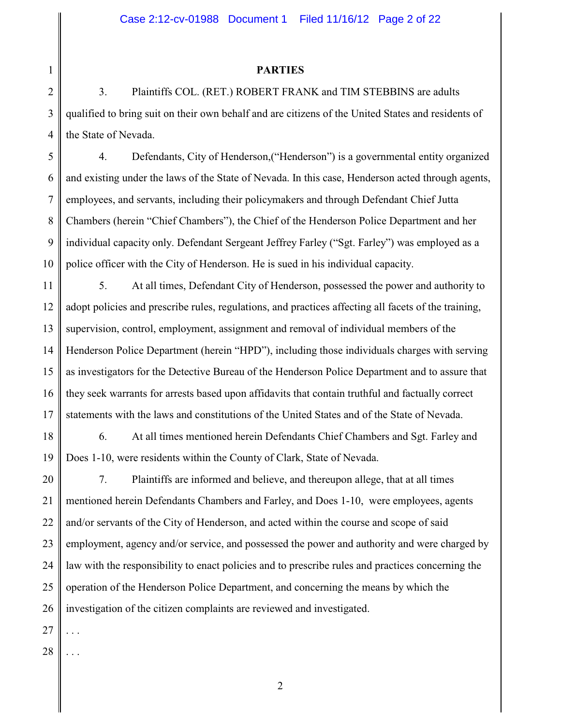## **PARTIES**

2 3 4 3. Plaintiffs COL. (RET.) ROBERT FRANK and TIM STEBBINS are adults qualified to bring suit on their own behalf and are citizens of the United States and residents of the State of Nevada.

5 6 7 8 9 10 4. Defendants, City of Henderson,("Henderson") is a governmental entity organized and existing under the laws of the State of Nevada. In this case, Henderson acted through agents, employees, and servants, including their policymakers and through Defendant Chief Jutta Chambers (herein "Chief Chambers"), the Chief of the Henderson Police Department and her individual capacity only. Defendant Sergeant Jeffrey Farley ("Sgt. Farley") was employed as a police officer with the City of Henderson. He is sued in his individual capacity.

11 12 13 14 15 16 17 5. At all times, Defendant City of Henderson, possessed the power and authority to adopt policies and prescribe rules, regulations, and practices affecting all facets of the training, supervision, control, employment, assignment and removal of individual members of the Henderson Police Department (herein "HPD"), including those individuals charges with serving as investigators for the Detective Bureau of the Henderson Police Department and to assure that they seek warrants for arrests based upon affidavits that contain truthful and factually correct statements with the laws and constitutions of the United States and of the State of Nevada.

18 19 6. At all times mentioned herein Defendants Chief Chambers and Sgt. Farley and Does 1-10, were residents within the County of Clark, State of Nevada.

20 21 22 23 24 25 26 7. Plaintiffs are informed and believe, and thereupon allege, that at all times mentioned herein Defendants Chambers and Farley, and Does 1-10, were employees, agents and/or servants of the City of Henderson, and acted within the course and scope of said employment, agency and/or service, and possessed the power and authority and were charged by law with the responsibility to enact policies and to prescribe rules and practices concerning the operation of the Henderson Police Department, and concerning the means by which the investigation of the citizen complaints are reviewed and investigated.

27 . . .

1

28 . . .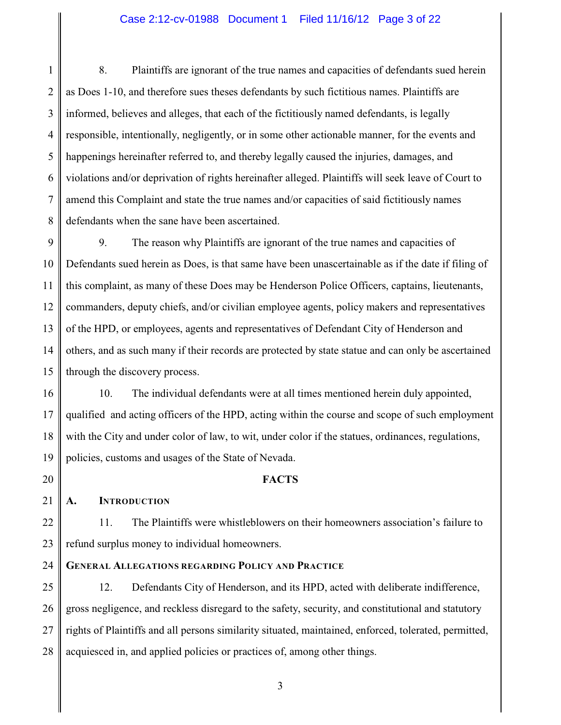### Case 2:12-cv-01988 Document 1 Filed 11/16/12 Page 3 of 22

1 2 3 4 5 6 7 8 8. Plaintiffs are ignorant of the true names and capacities of defendants sued herein as Does 1-10, and therefore sues theses defendants by such fictitious names. Plaintiffs are informed, believes and alleges, that each of the fictitiously named defendants, is legally responsible, intentionally, negligently, or in some other actionable manner, for the events and happenings hereinafter referred to, and thereby legally caused the injuries, damages, and violations and/or deprivation of rights hereinafter alleged. Plaintiffs will seek leave of Court to amend this Complaint and state the true names and/or capacities of said fictitiously names defendants when the sane have been ascertained.

9 10 11 12 13 14 15 9. The reason why Plaintiffs are ignorant of the true names and capacities of Defendants sued herein as Does, is that same have been unascertainable as if the date if filing of this complaint, as many of these Does may be Henderson Police Officers, captains, lieutenants, commanders, deputy chiefs, and/or civilian employee agents, policy makers and representatives of the HPD, or employees, agents and representatives of Defendant City of Henderson and others, and as such many if their records are protected by state statue and can only be ascertained through the discovery process.

16 17 18 19 10. The individual defendants were at all times mentioned herein duly appointed, qualified and acting officers of the HPD, acting within the course and scope of such employment with the City and under color of law, to wit, under color if the statues, ordinances, regulations, policies, customs and usages of the State of Nevada.

20

21

**A. INTRODUCTION**

## **FACTS**

22 23 11. The Plaintiffs were whistleblowers on their homeowners association's failure to refund surplus money to individual homeowners.

#### 24 **GENERAL ALLEGATIONS REGARDING POLICY AND PRACTICE**

25 26 27 28 12. Defendants City of Henderson, and its HPD, acted with deliberate indifference, gross negligence, and reckless disregard to the safety, security, and constitutional and statutory rights of Plaintiffs and all persons similarity situated, maintained, enforced, tolerated, permitted, acquiesced in, and applied policies or practices of, among other things.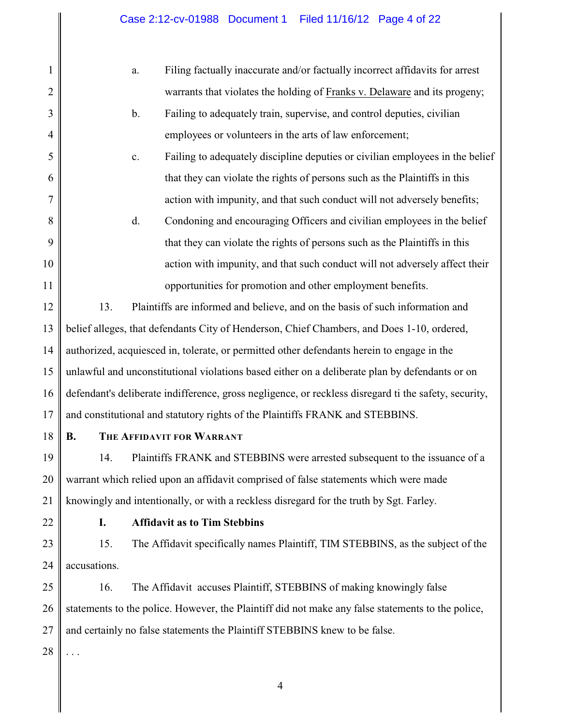| $\mathbf{1}$   | Filing factually inaccurate and/or factually incorrect affidavits for arrest<br>a.                    |  |  |
|----------------|-------------------------------------------------------------------------------------------------------|--|--|
| $\overline{c}$ | warrants that violates the holding of Franks v. Delaware and its progeny;                             |  |  |
| 3              | Failing to adequately train, supervise, and control deputies, civilian<br>$b$ .                       |  |  |
| $\overline{4}$ | employees or volunteers in the arts of law enforcement;                                               |  |  |
| 5              | Failing to adequately discipline deputies or civilian employees in the belief<br>c.                   |  |  |
| 6              | that they can violate the rights of persons such as the Plaintiffs in this                            |  |  |
| 7              | action with impunity, and that such conduct will not adversely benefits;                              |  |  |
| 8              | d.<br>Condoning and encouraging Officers and civilian employees in the belief                         |  |  |
| 9              | that they can violate the rights of persons such as the Plaintiffs in this                            |  |  |
| 10             | action with impunity, and that such conduct will not adversely affect their                           |  |  |
| 11             | opportunities for promotion and other employment benefits.                                            |  |  |
| 12             | 13.<br>Plaintiffs are informed and believe, and on the basis of such information and                  |  |  |
| 13             | belief alleges, that defendants City of Henderson, Chief Chambers, and Does 1-10, ordered,            |  |  |
| 14             | authorized, acquiesced in, tolerate, or permitted other defendants herein to engage in the            |  |  |
| 15             | unlawful and unconstitutional violations based either on a deliberate plan by defendants or on        |  |  |
| 16             | defendant's deliberate indifference, gross negligence, or reckless disregard ti the safety, security, |  |  |
| 17             | and constitutional and statutory rights of the Plaintiffs FRANK and STEBBINS.                         |  |  |
| 18             | <b>B.</b><br>THE AFFIDAVIT FOR WARRANT                                                                |  |  |
| 19             | Plaintiffs FRANK and STEBBINS were arrested subsequent to the issuance of a<br>14.                    |  |  |
| 20             | warrant which relied upon an affidavit comprised of false statements which were made                  |  |  |
| 21             | knowingly and intentionally, or with a reckless disregard for the truth by Sgt. Farley.               |  |  |
| 22             | <b>Affidavit as to Tim Stebbins</b><br>I.                                                             |  |  |
| 23             | 15.<br>The Affidavit specifically names Plaintiff, TIM STEBBINS, as the subject of the                |  |  |
| 24             | accusations.                                                                                          |  |  |
| 25             | The Affidavit accuses Plaintiff, STEBBINS of making knowingly false<br>16.                            |  |  |
| 26             | statements to the police. However, the Plaintiff did not make any false statements to the police,     |  |  |
| 27             | and certainly no false statements the Plaintiff STEBBINS knew to be false.                            |  |  |
| 28             |                                                                                                       |  |  |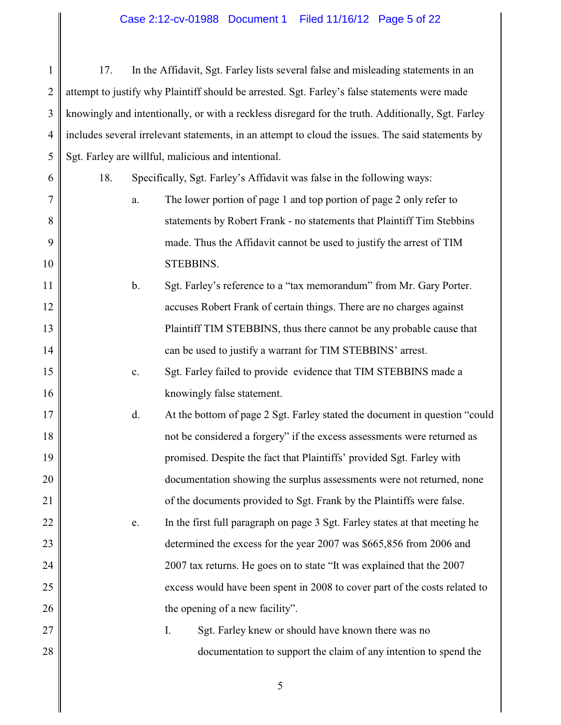1 2 3 4 5 17. In the Affidavit, Sgt. Farley lists several false and misleading statements in an attempt to justify why Plaintiff should be arrested. Sgt. Farley's false statements were made knowingly and intentionally, or with a reckless disregard for the truth. Additionally, Sgt. Farley includes several irrelevant statements, in an attempt to cloud the issues. The said statements by Sgt. Farley are willful, malicious and intentional.

18. Specifically, Sgt. Farley's Affidavit was false in the following ways:

6

7

8

9

10

15

16

17

18

19

20

21

22

23

24

25

26

27

28

- a. The lower portion of page 1 and top portion of page 2 only refer to statements by Robert Frank - no statements that Plaintiff Tim Stebbins made. Thus the Affidavit cannot be used to justify the arrest of TIM STEBBINS.
- 11 12 13 14 b. Sgt. Farley's reference to a "tax memorandum" from Mr. Gary Porter. accuses Robert Frank of certain things. There are no charges against Plaintiff TIM STEBBINS, thus there cannot be any probable cause that can be used to justify a warrant for TIM STEBBINS' arrest.
	- c. Sgt. Farley failed to provide evidence that TIM STEBBINS made a knowingly false statement.
	- d. At the bottom of page 2 Sgt. Farley stated the document in question "could not be considered a forgery" if the excess assessments were returned as promised. Despite the fact that Plaintiffs' provided Sgt. Farley with documentation showing the surplus assessments were not returned, none of the documents provided to Sgt. Frank by the Plaintiffs were false.
	- e. In the first full paragraph on page 3 Sgt. Farley states at that meeting he determined the excess for the year 2007 was \$665,856 from 2006 and 2007 tax returns. He goes on to state "It was explained that the 2007 excess would have been spent in 2008 to cover part of the costs related to the opening of a new facility".
	- I. Sgt. Farley knew or should have known there was no documentation to support the claim of any intention to spend the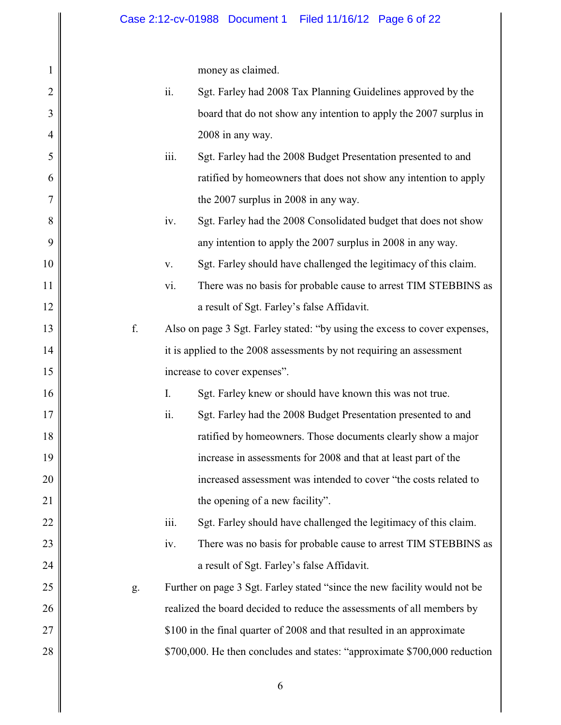money as claimed.

| 1              |    |      | money as claimed.                                                          |
|----------------|----|------|----------------------------------------------------------------------------|
| $\overline{2}$ |    | ii.  | Sgt. Farley had 2008 Tax Planning Guidelines approved by the               |
| 3              |    |      | board that do not show any intention to apply the 2007 surplus in          |
| $\overline{4}$ |    |      | 2008 in any way.                                                           |
| 5              |    | iii. | Sgt. Farley had the 2008 Budget Presentation presented to and              |
| 6              |    |      | ratified by homeowners that does not show any intention to apply           |
| 7              |    |      | the 2007 surplus in 2008 in any way.                                       |
| 8              |    | iv.  | Sgt. Farley had the 2008 Consolidated budget that does not show            |
| 9              |    |      | any intention to apply the 2007 surplus in 2008 in any way.                |
| 10             |    | V.   | Sgt. Farley should have challenged the legitimacy of this claim.           |
| 11             |    | vi.  | There was no basis for probable cause to arrest TIM STEBBINS as            |
| 12             |    |      | a result of Sgt. Farley's false Affidavit.                                 |
| 13             | f. |      | Also on page 3 Sgt. Farley stated: "by using the excess to cover expenses, |
| 14             |    |      | it is applied to the 2008 assessments by not requiring an assessment       |
| 15             |    |      | increase to cover expenses".                                               |
|                |    |      |                                                                            |
| 16             |    | I.   | Sgt. Farley knew or should have known this was not true.                   |
| 17             |    | ii.  | Sgt. Farley had the 2008 Budget Presentation presented to and              |
| 18             |    |      | ratified by homeowners. Those documents clearly show a major               |
| 19             |    |      | increase in assessments for 2008 and that at least part of the             |
| 20             |    |      | increased assessment was intended to cover "the costs related to           |
| 21             |    |      | the opening of a new facility".                                            |
| 22             |    | iii. | Sgt. Farley should have challenged the legitimacy of this claim.           |
| 23             |    | iv.  | There was no basis for probable cause to arrest TIM STEBBINS as            |
| 24             |    |      | a result of Sgt. Farley's false Affidavit.                                 |
| 25             | g. |      | Further on page 3 Sgt. Farley stated "since the new facility would not be  |
| 26             |    |      | realized the board decided to reduce the assessments of all members by     |
| 27             |    |      | \$100 in the final quarter of 2008 and that resulted in an approximate     |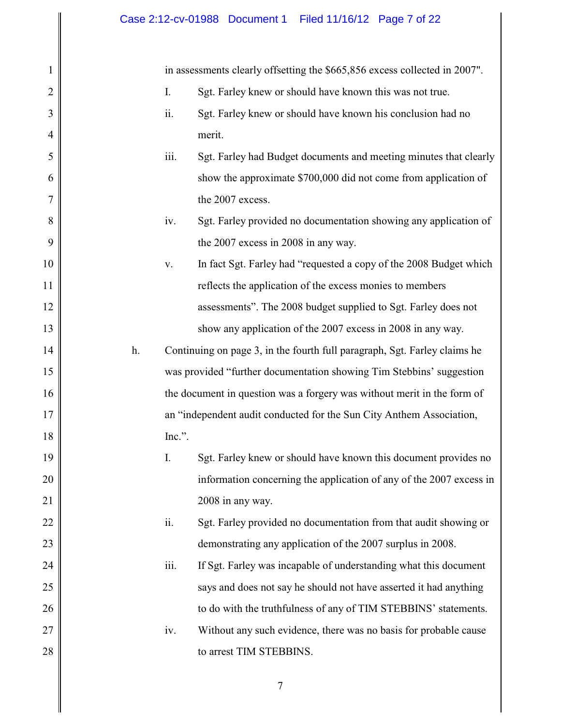## Case 2:12-cv-01988 Document 1 Filed 11/16/12 Page 7 of 22

1

2

3

4

5

6

7

8

9

10

11

12

13

14

15

16

17

18

19

20

21

22

23

24

25

26

27

28

in assessments clearly offsetting the \$665,856 excess collected in 2007".

- I. Sgt. Farley knew or should have known this was not true.
- ii. Sgt. Farley knew or should have known his conclusion had no merit.
- iii. Sgt. Farley had Budget documents and meeting minutes that clearly show the approximate \$700,000 did not come from application of the 2007 excess.
	- iv. Sgt. Farley provided no documentation showing any application of the 2007 excess in 2008 in any way.
- v. In fact Sgt. Farley had "requested a copy of the 2008 Budget which reflects the application of the excess monies to members assessments". The 2008 budget supplied to Sgt. Farley does not show any application of the 2007 excess in 2008 in any way.
- h. Continuing on page 3, in the fourth full paragraph, Sgt. Farley claims he was provided "further documentation showing Tim Stebbins' suggestion the document in question was a forgery was without merit in the form of an "independent audit conducted for the Sun City Anthem Association, Inc.".
- I. Sgt. Farley knew or should have known this document provides no information concerning the application of any of the 2007 excess in 2008 in any way.
	- ii. Sgt. Farley provided no documentation from that audit showing or demonstrating any application of the 2007 surplus in 2008.
	- iii. If Sgt. Farley was incapable of understanding what this document says and does not say he should not have asserted it had anything to do with the truthfulness of any of TIM STEBBINS' statements. iv. Without any such evidence, there was no basis for probable cause
		- to arrest TIM STEBBINS.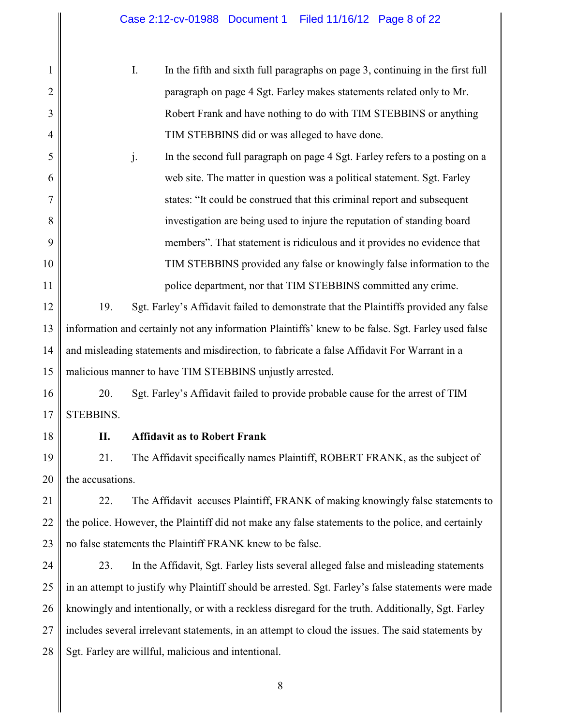I. In the fifth and sixth full paragraphs on page 3, continuing in the first full paragraph on page 4 Sgt. Farley makes statements related only to Mr. Robert Frank and have nothing to do with TIM STEBBINS or anything TIM STEBBINS did or was alleged to have done.

5 6 7 8 9 10 11 j. In the second full paragraph on page 4 Sgt. Farley refers to a posting on a web site. The matter in question was a political statement. Sgt. Farley states: "It could be construed that this criminal report and subsequent investigation are being used to injure the reputation of standing board members". That statement is ridiculous and it provides no evidence that TIM STEBBINS provided any false or knowingly false information to the police department, nor that TIM STEBBINS committed any crime.

12 13 14 15 19. Sgt. Farley's Affidavit failed to demonstrate that the Plaintiffs provided any false information and certainly not any information Plaintiffs' knew to be false. Sgt. Farley used false and misleading statements and misdirection, to fabricate a false Affidavit For Warrant in a malicious manner to have TIM STEBBINS unjustly arrested.

16 17 20. Sgt. Farley's Affidavit failed to provide probable cause for the arrest of TIM STEBBINS.

18

1

2

3

4

## **II. Affidavit as to Robert Frank**

19 20 21. The Affidavit specifically names Plaintiff, ROBERT FRANK, as the subject of the accusations.

21 22 23 22. The Affidavit accuses Plaintiff, FRANK of making knowingly false statements to the police. However, the Plaintiff did not make any false statements to the police, and certainly no false statements the Plaintiff FRANK knew to be false.

24 25 26 27 28 23. In the Affidavit, Sgt. Farley lists several alleged false and misleading statements in an attempt to justify why Plaintiff should be arrested. Sgt. Farley's false statements were made knowingly and intentionally, or with a reckless disregard for the truth. Additionally, Sgt. Farley includes several irrelevant statements, in an attempt to cloud the issues. The said statements by Sgt. Farley are willful, malicious and intentional.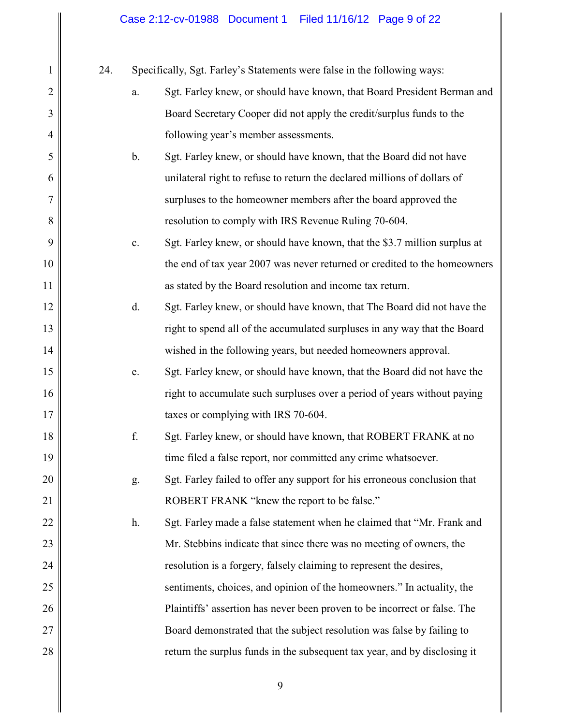# Case 2:12-cv-01988 Document 1 Filed 11/16/12 Page 9 of 22

| $\mathbf{1}$   | 24. |       | Specifically, Sgt. Farley's Statements were false in the following ways:  |
|----------------|-----|-------|---------------------------------------------------------------------------|
| $\overline{2}$ |     | a.    | Sgt. Farley knew, or should have known, that Board President Berman and   |
| 3              |     |       | Board Secretary Cooper did not apply the credit/surplus funds to the      |
| $\overline{4}$ |     |       | following year's member assessments.                                      |
| 5              |     | $b$ . | Sgt. Farley knew, or should have known, that the Board did not have       |
| 6              |     |       | unilateral right to refuse to return the declared millions of dollars of  |
| 7              |     |       | surpluses to the homeowner members after the board approved the           |
| 8              |     |       | resolution to comply with IRS Revenue Ruling 70-604.                      |
| 9              |     | c.    | Sgt. Farley knew, or should have known, that the \$3.7 million surplus at |
| 10             |     |       | the end of tax year 2007 was never returned or credited to the homeowners |
| 11             |     |       | as stated by the Board resolution and income tax return.                  |
| 12             |     | d.    | Sgt. Farley knew, or should have known, that The Board did not have the   |
| 13             |     |       | right to spend all of the accumulated surpluses in any way that the Board |
| 14             |     |       | wished in the following years, but needed homeowners approval.            |
| 15             |     | e.    | Sgt. Farley knew, or should have known, that the Board did not have the   |
| 16             |     |       | right to accumulate such surpluses over a period of years without paying  |
| 17             |     |       | taxes or complying with IRS 70-604.                                       |
| 18             |     | f.    | Sgt. Farley knew, or should have known, that ROBERT FRANK at no           |
| 19             |     |       | time filed a false report, nor committed any crime whatsoever.            |
| 20             |     | g.    | Sgt. Farley failed to offer any support for his erroneous conclusion that |
| 21             |     |       | ROBERT FRANK "knew the report to be false."                               |
| 22             |     | h.    | Sgt. Farley made a false statement when he claimed that "Mr. Frank and    |
| 23             |     |       | Mr. Stebbins indicate that since there was no meeting of owners, the      |
| 24             |     |       | resolution is a forgery, falsely claiming to represent the desires,       |
| 25             |     |       | sentiments, choices, and opinion of the homeowners." In actuality, the    |
| 26             |     |       | Plaintiffs' assertion has never been proven to be incorrect or false. The |
| 27             |     |       | Board demonstrated that the subject resolution was false by failing to    |
| 28             |     |       | return the surplus funds in the subsequent tax year, and by disclosing it |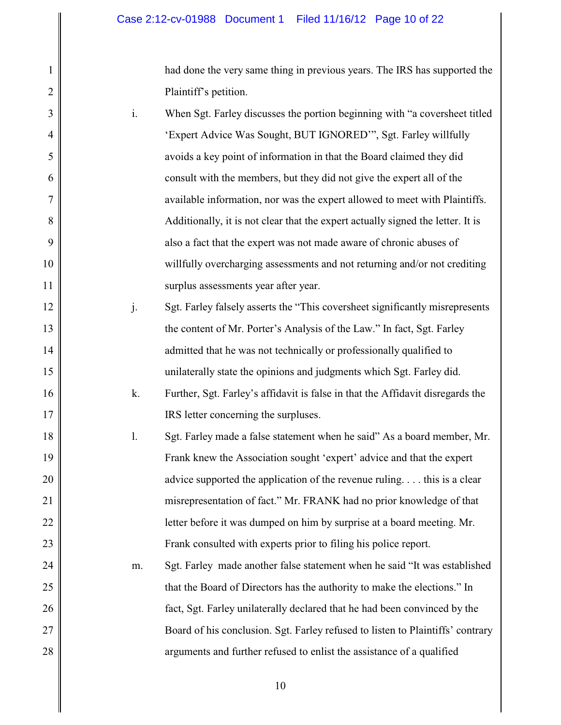1

2

3

4

5

6

7

8

9

10

11

12

13

14

15

16

17

24

25

26

27

28

had done the very same thing in previous years. The IRS has supported the Plaintiff's petition.

i. When Sgt. Farley discusses the portion beginning with "a coversheet titled 'Expert Advice Was Sought, BUT IGNORED'", Sgt. Farley willfully avoids a key point of information in that the Board claimed they did consult with the members, but they did not give the expert all of the available information, nor was the expert allowed to meet with Plaintiffs. Additionally, it is not clear that the expert actually signed the letter. It is also a fact that the expert was not made aware of chronic abuses of willfully overcharging assessments and not returning and/or not crediting surplus assessments year after year. j. Sgt. Farley falsely asserts the "This coversheet significantly misrepresents the content of Mr. Porter's Analysis of the Law." In fact, Sgt. Farley

> admitted that he was not technically or professionally qualified to unilaterally state the opinions and judgments which Sgt. Farley did.

- k. Further, Sgt. Farley's affidavit is false in that the Affidavit disregards the IRS letter concerning the surpluses.
- 18 19 20 21 22 23 l. Sgt. Farley made a false statement when he said" As a board member, Mr. Frank knew the Association sought 'expert' advice and that the expert advice supported the application of the revenue ruling. . . . this is a clear misrepresentation of fact." Mr. FRANK had no prior knowledge of that letter before it was dumped on him by surprise at a board meeting. Mr. Frank consulted with experts prior to filing his police report.
	- m. Sgt. Farley made another false statement when he said "It was established that the Board of Directors has the authority to make the elections." In fact, Sgt. Farley unilaterally declared that he had been convinced by the Board of his conclusion. Sgt. Farley refused to listen to Plaintiffs' contrary arguments and further refused to enlist the assistance of a qualified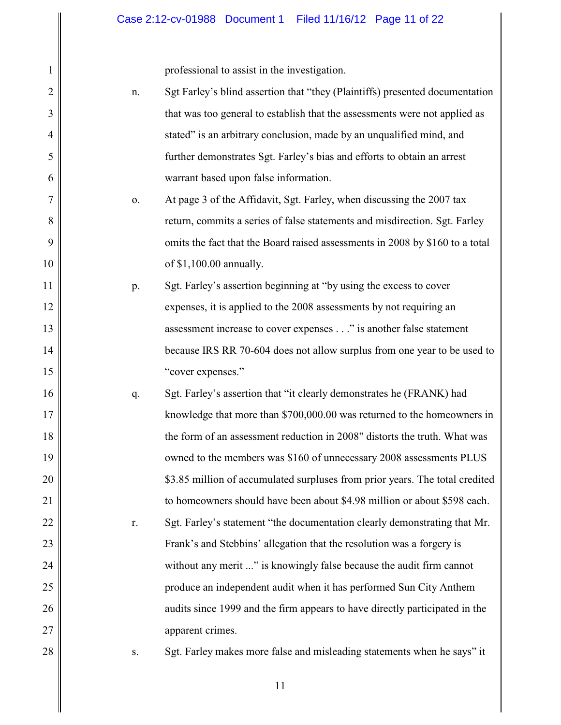professional to assist in the investigation.

|                |    | professional to assist in the investigation.                                 |
|----------------|----|------------------------------------------------------------------------------|
| $\overline{2}$ | n. | Sgt Farley's blind assertion that "they (Plaintiffs) presented documentation |
| 3              |    | that was too general to establish that the assessments were not applied as   |
| $\overline{4}$ |    | stated" is an arbitrary conclusion, made by an unqualified mind, and         |
| 5              |    | further demonstrates Sgt. Farley's bias and efforts to obtain an arrest      |
| 6              |    | warrant based upon false information.                                        |
| 7              | 0. | At page 3 of the Affidavit, Sgt. Farley, when discussing the 2007 tax        |
| 8              |    | return, commits a series of false statements and misdirection. Sgt. Farley   |
| 9              |    | omits the fact that the Board raised assessments in 2008 by \$160 to a total |
| 10             |    | of \$1,100.00 annually.                                                      |
| 11             | p. | Sgt. Farley's assertion beginning at "by using the excess to cover           |
| 12             |    | expenses, it is applied to the 2008 assessments by not requiring an          |
| 13             |    | assessment increase to cover expenses" is another false statement            |
| 14             |    | because IRS RR 70-604 does not allow surplus from one year to be used to     |
| 15             |    | "cover expenses."                                                            |
| 16             | q. | Sgt. Farley's assertion that "it clearly demonstrates he (FRANK) had         |
| 17             |    | knowledge that more than \$700,000.00 was returned to the homeowners in      |
| 18             |    | the form of an assessment reduction in 2008" distorts the truth. What was    |
| 19             |    | owned to the members was \$160 of unnecessary 2008 assessments PLUS          |
| 20             |    | \$3.85 million of accumulated surpluses from prior years. The total credited |
| 21             |    | to homeowners should have been about \$4.98 million or about \$598 each.     |
| 22             | r. | Sgt. Farley's statement "the documentation clearly demonstrating that Mr.    |
| 23             |    | Frank's and Stebbins' allegation that the resolution was a forgery is        |
| 24             |    | without any merit " is knowingly false because the audit firm cannot         |
| 25             |    | produce an independent audit when it has performed Sun City Anthem           |
| 26             |    | audits since 1999 and the firm appears to have directly participated in the  |
| 27             |    | apparent crimes.                                                             |
| 28             | S. | Sgt. Farley makes more false and misleading statements when he says" it      |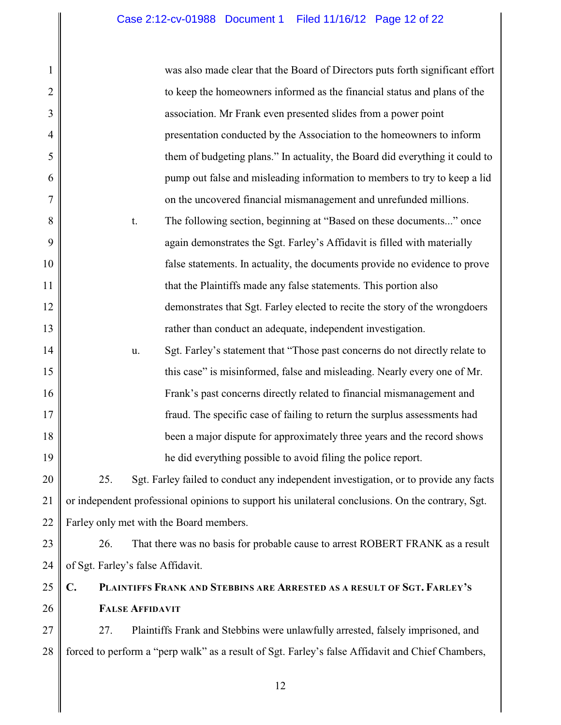| 1              | was also made clear that the Board of Directors puts forth significant effort                     |
|----------------|---------------------------------------------------------------------------------------------------|
| $\overline{c}$ | to keep the homeowners informed as the financial status and plans of the                          |
| 3              | association. Mr Frank even presented slides from a power point                                    |
| $\overline{4}$ | presentation conducted by the Association to the homeowners to inform                             |
| 5              | them of budgeting plans." In actuality, the Board did everything it could to                      |
| 6              | pump out false and misleading information to members to try to keep a lid                         |
| 7              | on the uncovered financial mismanagement and unrefunded millions.                                 |
| 8              | The following section, beginning at "Based on these documents" once<br>t.                         |
| 9              | again demonstrates the Sgt. Farley's Affidavit is filled with materially                          |
| 10             | false statements. In actuality, the documents provide no evidence to prove                        |
| 11             | that the Plaintiffs made any false statements. This portion also                                  |
| 12             | demonstrates that Sgt. Farley elected to recite the story of the wrongdoers                       |
| 13             | rather than conduct an adequate, independent investigation.                                       |
| 14             | Sgt. Farley's statement that "Those past concerns do not directly relate to<br>u.                 |
| 15             | this case" is misinformed, false and misleading. Nearly every one of Mr.                          |
| 16             | Frank's past concerns directly related to financial mismanagement and                             |
| 17             | fraud. The specific case of failing to return the surplus assessments had                         |
| 18             | been a major dispute for approximately three years and the record shows                           |
| 19             | he did everything possible to avoid filing the police report.                                     |
| 20             | Sgt. Farley failed to conduct any independent investigation, or to provide any facts<br>25.       |
| 21             | or independent professional opinions to support his unilateral conclusions. On the contrary, Sgt. |
| 22             | Farley only met with the Board members.                                                           |
| 23             | 26.<br>That there was no basis for probable cause to arrest ROBERT FRANK as a result              |
| 24             | of Sgt. Farley's false Affidavit.                                                                 |
| 25             | C.<br>PLAINTIFFS FRANK AND STEBBINS ARE ARRESTED AS A RESULT OF SGT. FARLEY'S                     |
| 26             | <b>FALSE AFFIDAVIT</b>                                                                            |
| 27             | 27.<br>Plaintiffs Frank and Stebbins were unlawfully arrested, falsely imprisoned, and            |
| 28             | forced to perform a "perp walk" as a result of Sgt. Farley's false Affidavit and Chief Chambers,  |
|                |                                                                                                   |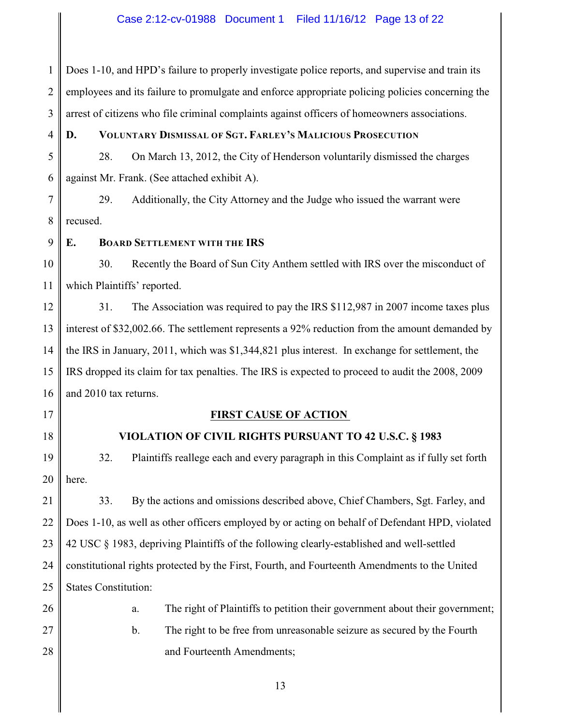## Case 2:12-cv-01988 Document 1 Filed 11/16/12 Page 13 of 22

1 2 3 Does 1-10, and HPD's failure to properly investigate police reports, and supervise and train its employees and its failure to promulgate and enforce appropriate policing policies concerning the arrest of citizens who file criminal complaints against officers of homeowners associations.

4

## **D. VOLUNTARY DISMISSAL OF SGT. FARLEY'S MALICIOUS PROSECUTION**

5 6 28. On March 13, 2012, the City of Henderson voluntarily dismissed the charges against Mr. Frank. (See attached exhibit A).

7 8 29. Additionally, the City Attorney and the Judge who issued the warrant were recused.

9 **E. BOARD SETTLEMENT WITH THE IRS**

10 11 30. Recently the Board of Sun City Anthem settled with IRS over the misconduct of which Plaintiffs' reported.

12 13 14 15 16 31. The Association was required to pay the IRS \$112,987 in 2007 income taxes plus interest of \$32,002.66. The settlement represents a 92% reduction from the amount demanded by the IRS in January, 2011, which was \$1,344,821 plus interest. In exchange for settlement, the IRS dropped its claim for tax penalties. The IRS is expected to proceed to audit the 2008, 2009 and 2010 tax returns.

17

18

## **FIRST CAUSE OF ACTION**

#### **VIOLATION OF CIVIL RIGHTS PURSUANT TO 42 U.S.C. § 1983**

19 20 32. Plaintiffs reallege each and every paragraph in this Complaint as if fully set forth here.

21 22 23 24 25 33. By the actions and omissions described above, Chief Chambers, Sgt. Farley, and Does 1-10, as well as other officers employed by or acting on behalf of Defendant HPD, violated 42 USC § 1983, depriving Plaintiffs of the following clearly-established and well-settled constitutional rights protected by the First, Fourth, and Fourteenth Amendments to the United States Constitution:

26 27

28

a. The right of Plaintiffs to petition their government about their government; b. The right to be free from unreasonable seizure as secured by the Fourth and Fourteenth Amendments;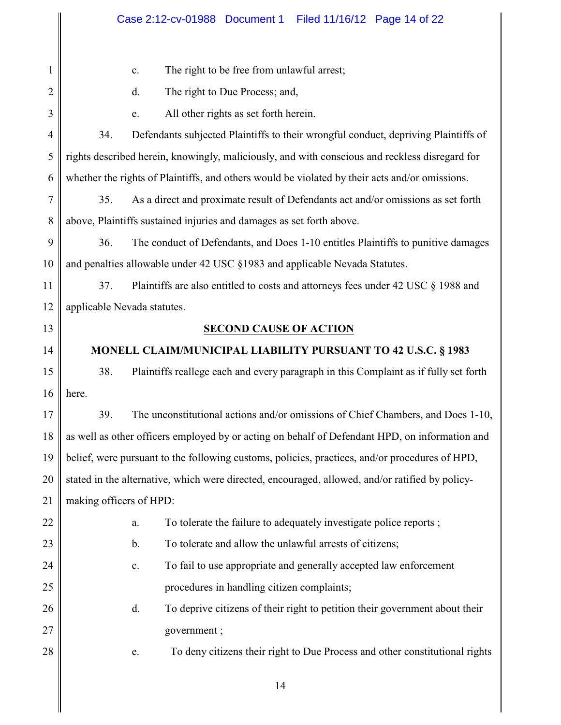| 1              | The right to be free from unlawful arrest;<br>c.                                                |  |  |
|----------------|-------------------------------------------------------------------------------------------------|--|--|
| $\overline{c}$ | The right to Due Process; and,<br>d.                                                            |  |  |
| 3              | All other rights as set forth herein.<br>e.                                                     |  |  |
| $\overline{4}$ | 34.<br>Defendants subjected Plaintiffs to their wrongful conduct, depriving Plaintiffs of       |  |  |
| 5              | rights described herein, knowingly, maliciously, and with conscious and reckless disregard for  |  |  |
| 6              | whether the rights of Plaintiffs, and others would be violated by their acts and/or omissions.  |  |  |
| 7              | 35.<br>As a direct and proximate result of Defendants act and/or omissions as set forth         |  |  |
| 8              | above, Plaintiffs sustained injuries and damages as set forth above.                            |  |  |
| 9              | The conduct of Defendants, and Does 1-10 entitles Plaintiffs to punitive damages<br>36.         |  |  |
| 10             | and penalties allowable under 42 USC §1983 and applicable Nevada Statutes.                      |  |  |
| 11             | Plaintiffs are also entitled to costs and attorneys fees under 42 USC § 1988 and<br>37.         |  |  |
| 12             | applicable Nevada statutes.                                                                     |  |  |
| 13             | <b>SECOND CAUSE OF ACTION</b>                                                                   |  |  |
| 14             | MONELL CLAIM/MUNICIPAL LIABILITY PURSUANT TO 42 U.S.C. § 1983                                   |  |  |
| 15             | 38.<br>Plaintiffs reallege each and every paragraph in this Complaint as if fully set forth     |  |  |
| 16             | here.                                                                                           |  |  |
| 17             | 39.<br>The unconstitutional actions and/or omissions of Chief Chambers, and Does 1-10,          |  |  |
| 18             | as well as other officers employed by or acting on behalf of Defendant HPD, on information and  |  |  |
| 19             |                                                                                                 |  |  |
|                | belief, were pursuant to the following customs, policies, practices, and/or procedures of HPD,  |  |  |
| 20             | stated in the alternative, which were directed, encouraged, allowed, and/or ratified by policy- |  |  |
| 21             | making officers of HPD:                                                                         |  |  |
| 22             | To tolerate the failure to adequately investigate police reports;<br>a.                         |  |  |
| 23             | To tolerate and allow the unlawful arrests of citizens;<br>$\mathbf b$ .                        |  |  |
| 24             | To fail to use appropriate and generally accepted law enforcement<br>$\mathbf{c}$ .             |  |  |
| 25             | procedures in handling citizen complaints;                                                      |  |  |
| 26             | To deprive citizens of their right to petition their government about their<br>d.               |  |  |
| 27             | government;                                                                                     |  |  |
| 28             | To deny citizens their right to Due Process and other constitutional rights<br>e.               |  |  |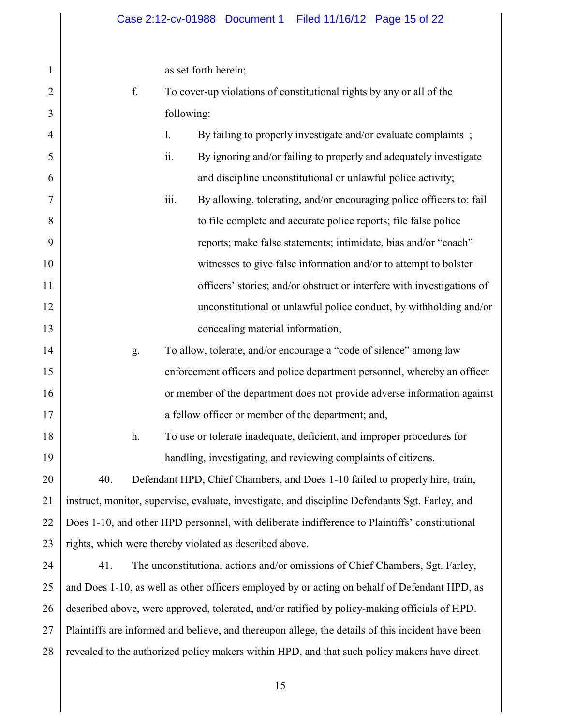as set forth herein;

1

2

3

f. To cover-up violations of constitutional rights by any or all of the following:

| $\overline{4}$ |     |    | I.   | By failing to properly investigate and/or evaluate complaints;                                  |
|----------------|-----|----|------|-------------------------------------------------------------------------------------------------|
| 5              |     |    | ii.  | By ignoring and/or failing to properly and adequately investigate                               |
| 6              |     |    |      | and discipline unconstitutional or unlawful police activity;                                    |
| 7              |     |    | iii. | By allowing, tolerating, and/or encouraging police officers to: fail                            |
| 8              |     |    |      | to file complete and accurate police reports; file false police                                 |
| 9              |     |    |      | reports; make false statements; intimidate, bias and/or "coach"                                 |
| 10             |     |    |      | witnesses to give false information and/or to attempt to bolster                                |
| 11             |     |    |      | officers' stories; and/or obstruct or interfere with investigations of                          |
| 12             |     |    |      | unconstitutional or unlawful police conduct, by withholding and/or                              |
| 13             |     |    |      | concealing material information;                                                                |
| 14             |     | g. |      | To allow, tolerate, and/or encourage a "code of silence" among law                              |
| 15             |     |    |      | enforcement officers and police department personnel, whereby an officer                        |
| 16             |     |    |      | or member of the department does not provide adverse information against                        |
| 17             |     |    |      | a fellow officer or member of the department; and,                                              |
| 18             |     | h. |      | To use or tolerate inadequate, deficient, and improper procedures for                           |
| 19             |     |    |      | handling, investigating, and reviewing complaints of citizens.                                  |
| 20             | 40. |    |      | Defendant HPD, Chief Chambers, and Does 1-10 failed to properly hire, train,                    |
| 21             |     |    |      | instruct, monitor, supervise, evaluate, investigate, and discipline Defendants Sgt. Farley, and |
| 22             |     |    |      | Does 1-10, and other HPD personnel, with deliberate indifference to Plaintiffs' constitutional  |
| 23             |     |    |      | rights, which were thereby violated as described above.                                         |
|                |     |    |      |                                                                                                 |

24 25 26 27 28 41. The unconstitutional actions and/or omissions of Chief Chambers, Sgt. Farley, and Does 1-10, as well as other officers employed by or acting on behalf of Defendant HPD, as described above, were approved, tolerated, and/or ratified by policy-making officials of HPD. Plaintiffs are informed and believe, and thereupon allege, the details of this incident have been revealed to the authorized policy makers within HPD, and that such policy makers have direct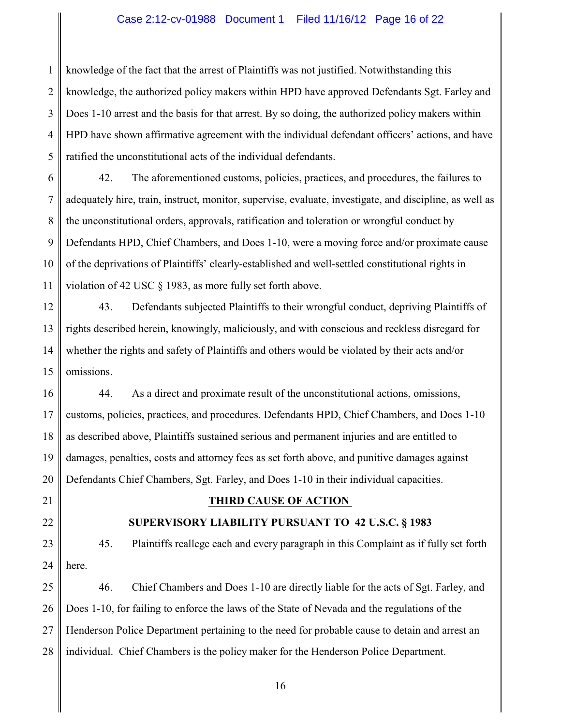## Case 2:12-cv-01988 Document 1 Filed 11/16/12 Page 16 of 22

1 2 3 4 5 knowledge of the fact that the arrest of Plaintiffs was not justified. Notwithstanding this knowledge, the authorized policy makers within HPD have approved Defendants Sgt. Farley and Does 1-10 arrest and the basis for that arrest. By so doing, the authorized policy makers within HPD have shown affirmative agreement with the individual defendant officers' actions, and have ratified the unconstitutional acts of the individual defendants.

6 7 8 9 10 11 42. The aforementioned customs, policies, practices, and procedures, the failures to adequately hire, train, instruct, monitor, supervise, evaluate, investigate, and discipline, as well as the unconstitutional orders, approvals, ratification and toleration or wrongful conduct by Defendants HPD, Chief Chambers, and Does 1-10, were a moving force and/or proximate cause of the deprivations of Plaintiffs' clearly-established and well-settled constitutional rights in violation of 42 USC § 1983, as more fully set forth above.

12 13 14 15 43. Defendants subjected Plaintiffs to their wrongful conduct, depriving Plaintiffs of rights described herein, knowingly, maliciously, and with conscious and reckless disregard for whether the rights and safety of Plaintiffs and others would be violated by their acts and/or omissions.

16 17 18 19 20 44. As a direct and proximate result of the unconstitutional actions, omissions, customs, policies, practices, and procedures. Defendants HPD, Chief Chambers, and Does 1-10 as described above, Plaintiffs sustained serious and permanent injuries and are entitled to damages, penalties, costs and attorney fees as set forth above, and punitive damages against Defendants Chief Chambers, Sgt. Farley, and Does 1-10 in their individual capacities.

21

22

## **SUPERVISORY LIABILITY PURSUANT TO 42 U.S.C. § 1983**

**THIRD CAUSE OF ACTION** 

23 24 45. Plaintiffs reallege each and every paragraph in this Complaint as if fully set forth here.

25 26 27 28 46. Chief Chambers and Does 1-10 are directly liable for the acts of Sgt. Farley, and Does 1-10, for failing to enforce the laws of the State of Nevada and the regulations of the Henderson Police Department pertaining to the need for probable cause to detain and arrest an individual. Chief Chambers is the policy maker for the Henderson Police Department.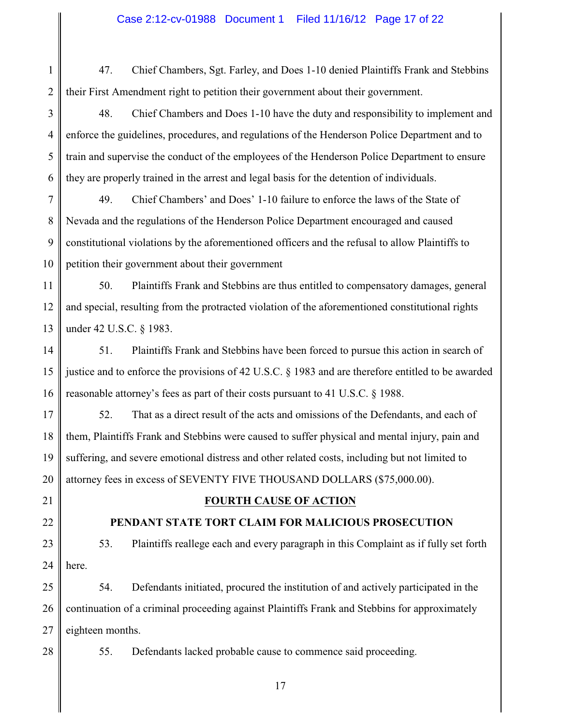## Case 2:12-cv-01988 Document 1 Filed 11/16/12 Page 17 of 22

1 2 47. Chief Chambers, Sgt. Farley, and Does 1-10 denied Plaintiffs Frank and Stebbins their First Amendment right to petition their government about their government.

3 4 5 6 48. Chief Chambers and Does 1-10 have the duty and responsibility to implement and enforce the guidelines, procedures, and regulations of the Henderson Police Department and to train and supervise the conduct of the employees of the Henderson Police Department to ensure they are properly trained in the arrest and legal basis for the detention of individuals.

7 8 9 10 49. Chief Chambers' and Does' 1-10 failure to enforce the laws of the State of Nevada and the regulations of the Henderson Police Department encouraged and caused constitutional violations by the aforementioned officers and the refusal to allow Plaintiffs to petition their government about their government

11 12 13 50. Plaintiffs Frank and Stebbins are thus entitled to compensatory damages, general and special, resulting from the protracted violation of the aforementioned constitutional rights under 42 U.S.C. § 1983.

14 15 16 51. Plaintiffs Frank and Stebbins have been forced to pursue this action in search of justice and to enforce the provisions of 42 U.S.C. § 1983 and are therefore entitled to be awarded reasonable attorney's fees as part of their costs pursuant to 41 U.S.C. § 1988.

17 18 19 20 52. That as a direct result of the acts and omissions of the Defendants, and each of them, Plaintiffs Frank and Stebbins were caused to suffer physical and mental injury, pain and suffering, and severe emotional distress and other related costs, including but not limited to attorney fees in excess of SEVENTY FIVE THOUSAND DOLLARS (\$75,000.00).

21

22

## **FOURTH CAUSE OF ACTION**

## **PENDANT STATE TORT CLAIM FOR MALICIOUS PROSECUTION**

23 24 53. Plaintiffs reallege each and every paragraph in this Complaint as if fully set forth here.

25 26 27 54. Defendants initiated, procured the institution of and actively participated in the continuation of a criminal proceeding against Plaintiffs Frank and Stebbins for approximately eighteen months.

28

55. Defendants lacked probable cause to commence said proceeding.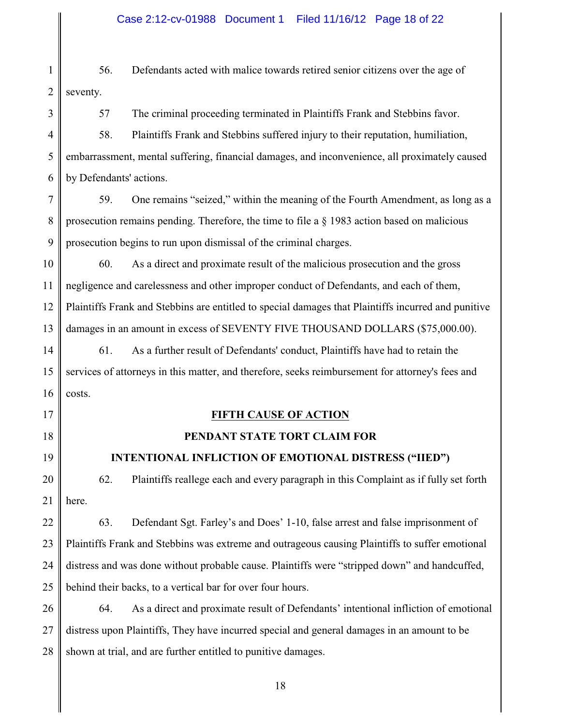## Case 2:12-cv-01988 Document 1 Filed 11/16/12 Page 18 of 22

1 2 56. Defendants acted with malice towards retired senior citizens over the age of seventy.

3 4 5 6 57 The criminal proceeding terminated in Plaintiffs Frank and Stebbins favor. 58. Plaintiffs Frank and Stebbins suffered injury to their reputation, humiliation, embarrassment, mental suffering, financial damages, and inconvenience, all proximately caused by Defendants' actions.

7 8 9 59. One remains "seized," within the meaning of the Fourth Amendment, as long as a prosecution remains pending. Therefore, the time to file a § 1983 action based on malicious prosecution begins to run upon dismissal of the criminal charges.

10 11 12 13 60. As a direct and proximate result of the malicious prosecution and the gross negligence and carelessness and other improper conduct of Defendants, and each of them, Plaintiffs Frank and Stebbins are entitled to special damages that Plaintiffs incurred and punitive damages in an amount in excess of SEVENTY FIVE THOUSAND DOLLARS (\$75,000.00).

14 15 16 61. As a further result of Defendants' conduct, Plaintiffs have had to retain the services of attorneys in this matter, and therefore, seeks reimbursement for attorney's fees and costs.

## 17

18

## 19

## **INTENTIONAL INFLICTION OF EMOTIONAL DISTRESS ("IIED")**

**FIFTH CAUSE OF ACTION**

 **PENDANT STATE TORT CLAIM FOR** 

20 21 62. Plaintiffs reallege each and every paragraph in this Complaint as if fully set forth here.

22 23 24 25 63. Defendant Sgt. Farley's and Does' 1-10, false arrest and false imprisonment of Plaintiffs Frank and Stebbins was extreme and outrageous causing Plaintiffs to suffer emotional distress and was done without probable cause. Plaintiffs were "stripped down" and handcuffed, behind their backs, to a vertical bar for over four hours.

26 27 28 64. As a direct and proximate result of Defendants' intentional infliction of emotional distress upon Plaintiffs, They have incurred special and general damages in an amount to be shown at trial, and are further entitled to punitive damages.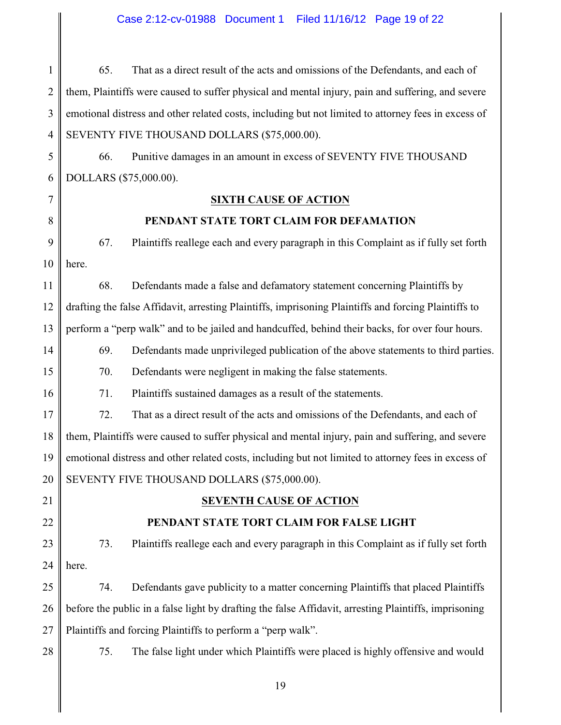## Case 2:12-cv-01988 Document 1 Filed 11/16/12 Page 19 of 22

1 2 3 4 65. That as a direct result of the acts and omissions of the Defendants, and each of them, Plaintiffs were caused to suffer physical and mental injury, pain and suffering, and severe emotional distress and other related costs, including but not limited to attorney fees in excess of SEVENTY FIVE THOUSAND DOLLARS (\$75,000.00).

5 6 66. Punitive damages in an amount in excess of SEVENTY FIVE THOUSAND DOLLARS (\$75,000.00).

7

8

## **SIXTH CAUSE OF ACTION**

## **PENDANT STATE TORT CLAIM FOR DEFAMATION**

9 10 67. Plaintiffs reallege each and every paragraph in this Complaint as if fully set forth here.

11 12 13 68. Defendants made a false and defamatory statement concerning Plaintiffs by drafting the false Affidavit, arresting Plaintiffs, imprisoning Plaintiffs and forcing Plaintiffs to perform a "perp walk" and to be jailed and handcuffed, behind their backs, for over four hours.

14 69. Defendants made unprivileged publication of the above statements to third parties.

70. Defendants were negligent in making the false statements.

71. Plaintiffs sustained damages as a result of the statements.

17 18 19 20 72. That as a direct result of the acts and omissions of the Defendants, and each of them, Plaintiffs were caused to suffer physical and mental injury, pain and suffering, and severe emotional distress and other related costs, including but not limited to attorney fees in excess of SEVENTY FIVE THOUSAND DOLLARS (\$75,000.00).

21

22

15

16

## **SEVENTH CAUSE OF ACTION**

## **PENDANT STATE TORT CLAIM FOR FALSE LIGHT**

23 24 73. Plaintiffs reallege each and every paragraph in this Complaint as if fully set forth here.

25 26 27 74. Defendants gave publicity to a matter concerning Plaintiffs that placed Plaintiffs before the public in a false light by drafting the false Affidavit, arresting Plaintiffs, imprisoning Plaintiffs and forcing Plaintiffs to perform a "perp walk".

28

75. The false light under which Plaintiffs were placed is highly offensive and would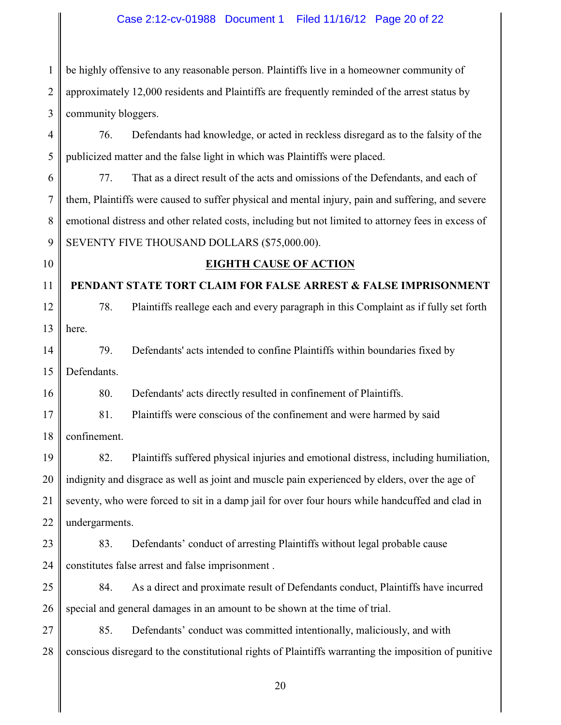## Case 2:12-cv-01988 Document 1 Filed 11/16/12 Page 20 of 22

1 2 3 be highly offensive to any reasonable person. Plaintiffs live in a homeowner community of approximately 12,000 residents and Plaintiffs are frequently reminded of the arrest status by community bloggers.

4 5 76. Defendants had knowledge, or acted in reckless disregard as to the falsity of the publicized matter and the false light in which was Plaintiffs were placed.

6 7 8 9 77. That as a direct result of the acts and omissions of the Defendants, and each of them, Plaintiffs were caused to suffer physical and mental injury, pain and suffering, and severe emotional distress and other related costs, including but not limited to attorney fees in excess of SEVENTY FIVE THOUSAND DOLLARS (\$75,000.00).

10

## **EIGHTH CAUSE OF ACTION**

11 **PENDANT STATE TORT CLAIM FOR FALSE ARREST & FALSE IMPRISONMENT**

12 13 78. Plaintiffs reallege each and every paragraph in this Complaint as if fully set forth here.

14 15 79. Defendants' acts intended to confine Plaintiffs within boundaries fixed by Defendants.

16 80. Defendants' acts directly resulted in confinement of Plaintiffs.

17 81. Plaintiffs were conscious of the confinement and were harmed by said

18 confinement.

19 20 21 22 82. Plaintiffs suffered physical injuries and emotional distress, including humiliation, indignity and disgrace as well as joint and muscle pain experienced by elders, over the age of seventy, who were forced to sit in a damp jail for over four hours while handcuffed and clad in undergarments.

23 24 83. Defendants' conduct of arresting Plaintiffs without legal probable cause constitutes false arrest and false imprisonment .

25 26 84. As a direct and proximate result of Defendants conduct, Plaintiffs have incurred special and general damages in an amount to be shown at the time of trial.

27 28 85. Defendants' conduct was committed intentionally, maliciously, and with conscious disregard to the constitutional rights of Plaintiffs warranting the imposition of punitive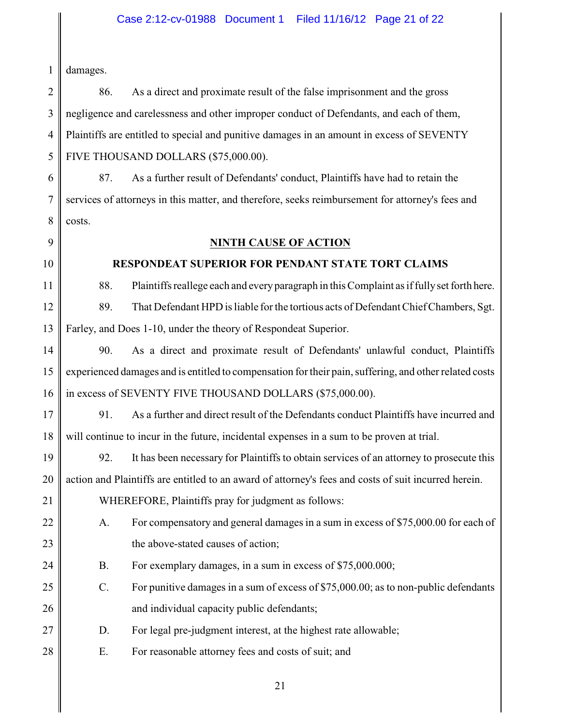## Case 2:12-cv-01988 Document 1 Filed 11/16/12 Page 21 of 22

1 damages.

2 3 4 5 86. As a direct and proximate result of the false imprisonment and the gross negligence and carelessness and other improper conduct of Defendants, and each of them, Plaintiffs are entitled to special and punitive damages in an amount in excess of SEVENTY FIVE THOUSAND DOLLARS (\$75,000.00).

6 7 8 87. As a further result of Defendants' conduct, Plaintiffs have had to retain the services of attorneys in this matter, and therefore, seeks reimbursement for attorney's fees and costs.

9

10

21

## **NINTH CAUSE OF ACTION**

## **RESPONDEAT SUPERIOR FOR PENDANT STATE TORT CLAIMS**

11 12 13 88. Plaintiffs reallege each and every paragraph in this Complaint as if fully set forth here. 89. That Defendant HPD is liable for the tortious acts of Defendant Chief Chambers, Sgt. Farley, and Does 1-10, under the theory of Respondeat Superior.

14 15 16 90. As a direct and proximate result of Defendants' unlawful conduct, Plaintiffs experienced damages and is entitled to compensation for their pain, suffering, and other related costs in excess of SEVENTY FIVE THOUSAND DOLLARS (\$75,000.00).

17 18 91. As a further and direct result of the Defendants conduct Plaintiffs have incurred and will continue to incur in the future, incidental expenses in a sum to be proven at trial.

19 20 92. It has been necessary for Plaintiffs to obtain services of an attorney to prosecute this action and Plaintiffs are entitled to an award of attorney's fees and costs of suit incurred herein.

WHEREFORE, Plaintiffs pray for judgment as follows:

- 22 23 A. For compensatory and general damages in a sum in excess of \$75,000.00 for each of the above-stated causes of action;
- 24 B. For exemplary damages, in a sum in excess of \$75,000.000;
- 25 26 C. For punitive damages in a sum of excess of \$75,000.00; as to non-public defendants and individual capacity public defendants;
- 27 D. For legal pre-judgment interest, at the highest rate allowable;
- 28 E. For reasonable attorney fees and costs of suit; and